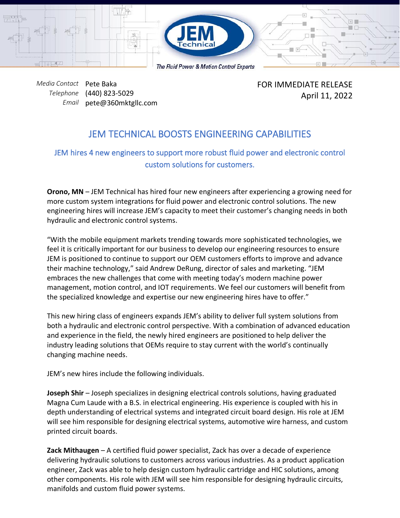

*Media Contact* Pete Baka *Telephone* (440) 823-5029 *Email* pete@360mktgllc.com FOR IMMEDIATE RELEASE April 11, 2022

## JEM TECHNICAL BOOSTS ENGINEERING CAPABILITIES

## JEM hires 4 new engineers to support more robust fluid power and electronic control custom solutions for customers.

**Orono, MN** – JEM Technical has hired four new engineers after experiencing a growing need for more custom system integrations for fluid power and electronic control solutions. The new engineering hires will increase JEM's capacity to meet their customer's changing needs in both hydraulic and electronic control systems.

"With the mobile equipment markets trending towards more sophisticated technologies, we feel it is critically important for our business to develop our engineering resources to ensure JEM is positioned to continue to support our OEM customers efforts to improve and advance their machine technology," said Andrew DeRung, director of sales and marketing. "JEM embraces the new challenges that come with meeting today's modern machine power management, motion control, and IOT requirements. We feel our customers will benefit from the specialized knowledge and expertise our new engineering hires have to offer."

This new hiring class of engineers expands JEM's ability to deliver full system solutions from both a hydraulic and electronic control perspective. With a combination of advanced education and experience in the field, the newly hired engineers are positioned to help deliver the industry leading solutions that OEMs require to stay current with the world's continually changing machine needs.

JEM's new hires include the following individuals.

**Joseph Shir** – Joseph specializes in designing electrical controls solutions, having graduated Magna Cum Laude with a B.S. in electrical engineering. His experience is coupled with his in depth understanding of electrical systems and integrated circuit board design. His role at JEM will see him responsible for designing electrical systems, automotive wire harness, and custom printed circuit boards.

**Zack Mithaugen** – A certified fluid power specialist, Zack has over a decade of experience delivering hydraulic solutions to customers across various industries. As a product application engineer, Zack was able to help design custom hydraulic cartridge and HIC solutions, among other components. His role with JEM will see him responsible for designing hydraulic circuits, manifolds and custom fluid power systems.